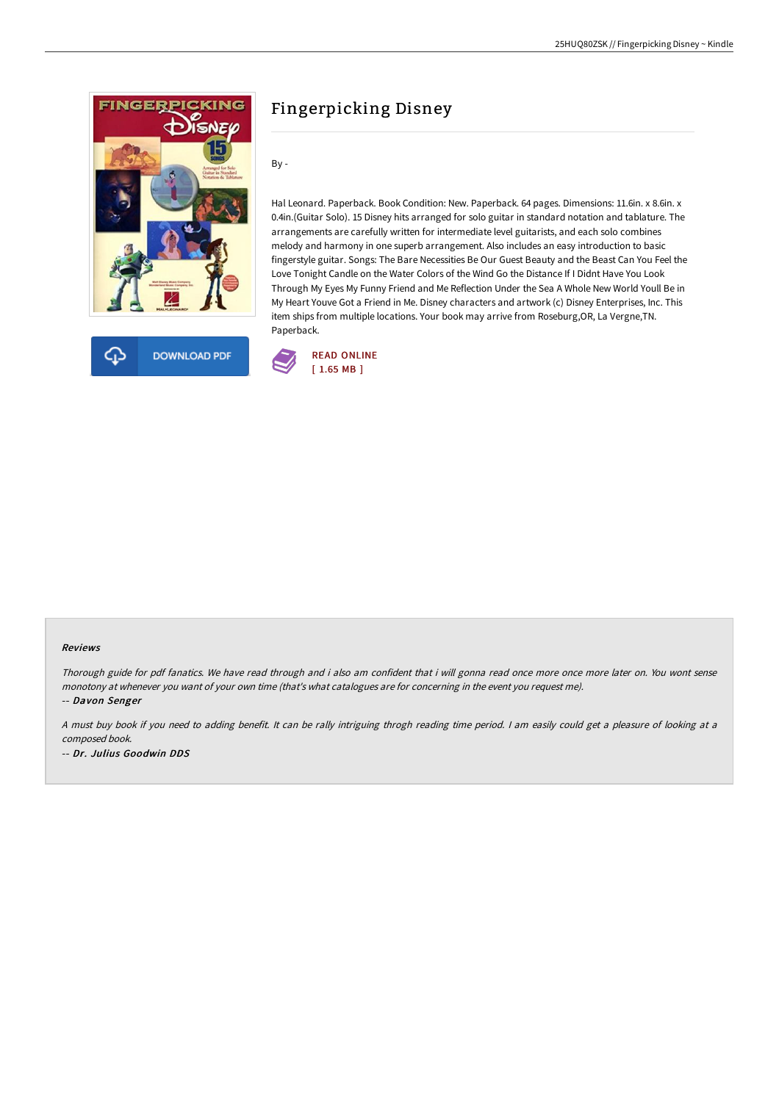



# Fingerpicking Disney

By -

Hal Leonard. Paperback. Book Condition: New. Paperback. 64 pages. Dimensions: 11.6in. x 8.6in. x 0.4in.(Guitar Solo). 15 Disney hits arranged for solo guitar in standard notation and tablature. The arrangements are carefully written for intermediate level guitarists, and each solo combines melody and harmony in one superb arrangement. Also includes an easy introduction to basic fingerstyle guitar. Songs: The Bare Necessities Be Our Guest Beauty and the Beast Can You Feel the Love Tonight Candle on the Water Colors of the Wind Go the Distance If I Didnt Have You Look Through My Eyes My Funny Friend and Me Reflection Under the Sea A Whole New World Youll Be in My Heart Youve Got a Friend in Me. Disney characters and artwork (c) Disney Enterprises, Inc. This item ships from multiple locations. Your book may arrive from Roseburg,OR, La Vergne,TN. Paperback.



#### Reviews

Thorough guide for pdf fanatics. We have read through and i also am confident that i will gonna read once more once more later on. You wont sense monotony at whenever you want of your own time (that's what catalogues are for concerning in the event you request me).

-- Davon Senger

<sup>A</sup> must buy book if you need to adding benefit. It can be rally intriguing throgh reading time period. <sup>I</sup> am easily could get <sup>a</sup> pleasure of looking at <sup>a</sup> composed book.

-- Dr. Julius Goodwin DDS